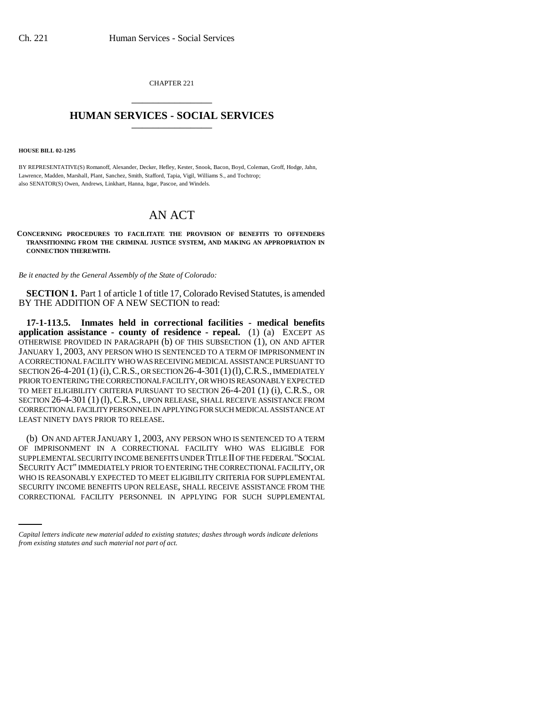CHAPTER 221 \_\_\_\_\_\_\_\_\_\_\_\_\_\_\_

## **HUMAN SERVICES - SOCIAL SERVICES** \_\_\_\_\_\_\_\_\_\_\_\_\_\_\_

**HOUSE BILL 02-1295**

BY REPRESENTATIVE(S) Romanoff, Alexander, Decker, Hefley, Kester, Snook, Bacon, Boyd, Coleman, Groff, Hodge, Jahn, Lawrence, Madden, Marshall, Plant, Sanchez, Smith, Stafford, Tapia, Vigil, Williams S., and Tochtrop; also SENATOR(S) Owen, Andrews, Linkhart, Hanna, Isgar, Pascoe, and Windels.

## AN ACT

## **CONCERNING PROCEDURES TO FACILITATE THE PROVISION OF BENEFITS TO OFFENDERS TRANSITIONING FROM THE CRIMINAL JUSTICE SYSTEM, AND MAKING AN APPROPRIATION IN CONNECTION THEREWITH.**

*Be it enacted by the General Assembly of the State of Colorado:*

**SECTION 1.** Part 1 of article 1 of title 17, Colorado Revised Statutes, is amended BY THE ADDITION OF A NEW SECTION to read:

**17-1-113.5. Inmates held in correctional facilities - medical benefits application assistance - county of residence - repeal.** (1) (a) EXCEPT AS OTHERWISE PROVIDED IN PARAGRAPH (b) OF THIS SUBSECTION (1), ON AND AFTER JANUARY 1, 2003, ANY PERSON WHO IS SENTENCED TO A TERM OF IMPRISONMENT IN A CORRECTIONAL FACILITY WHO WAS RECEIVING MEDICAL ASSISTANCE PURSUANT TO SECTION 26-4-201 (1) (i),C.R.S., OR SECTION 26-4-301(1)(l),C.R.S., IMMEDIATELY PRIOR TO ENTERING THE CORRECTIONAL FACILITY, OR WHO IS REASONABLY EXPECTED TO MEET ELIGIBILITY CRITERIA PURSUANT TO SECTION 26-4-201 (1) (i), C.R.S., OR SECTION 26-4-301 (1) (l), C.R.S., UPON RELEASE, SHALL RECEIVE ASSISTANCE FROM CORRECTIONAL FACILITY PERSONNEL IN APPLYING FOR SUCH MEDICAL ASSISTANCE AT LEAST NINETY DAYS PRIOR TO RELEASE.

WHO IS REASONABLY EXPECTED TO MEET ELIGIBILITY CRITERIA FOR SUPPLEMENTAL (b) ON AND AFTER JANUARY 1, 2003, ANY PERSON WHO IS SENTENCED TO A TERM OF IMPRISONMENT IN A CORRECTIONAL FACILITY WHO WAS ELIGIBLE FOR SUPPLEMENTAL SECURITY INCOME BENEFITS UNDER TITLE II OF THE FEDERAL "SOCIAL SECURITY ACT" IMMEDIATELY PRIOR TO ENTERING THE CORRECTIONAL FACILITY, OR SECURITY INCOME BENEFITS UPON RELEASE, SHALL RECEIVE ASSISTANCE FROM THE CORRECTIONAL FACILITY PERSONNEL IN APPLYING FOR SUCH SUPPLEMENTAL

*Capital letters indicate new material added to existing statutes; dashes through words indicate deletions from existing statutes and such material not part of act.*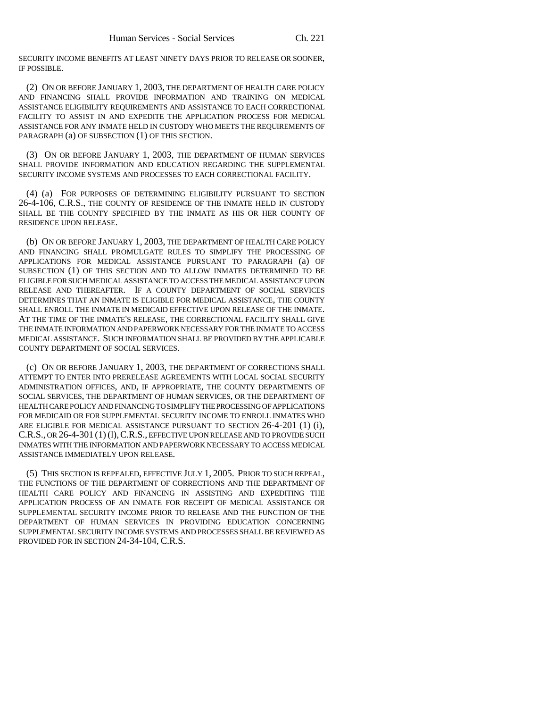SECURITY INCOME BENEFITS AT LEAST NINETY DAYS PRIOR TO RELEASE OR SOONER, IF POSSIBLE.

(2) ON OR BEFORE JANUARY 1, 2003, THE DEPARTMENT OF HEALTH CARE POLICY AND FINANCING SHALL PROVIDE INFORMATION AND TRAINING ON MEDICAL ASSISTANCE ELIGIBILITY REQUIREMENTS AND ASSISTANCE TO EACH CORRECTIONAL FACILITY TO ASSIST IN AND EXPEDITE THE APPLICATION PROCESS FOR MEDICAL ASSISTANCE FOR ANY INMATE HELD IN CUSTODY WHO MEETS THE REQUIREMENTS OF PARAGRAPH (a) OF SUBSECTION (1) OF THIS SECTION.

(3) ON OR BEFORE JANUARY 1, 2003, THE DEPARTMENT OF HUMAN SERVICES SHALL PROVIDE INFORMATION AND EDUCATION REGARDING THE SUPPLEMENTAL SECURITY INCOME SYSTEMS AND PROCESSES TO EACH CORRECTIONAL FACILITY.

(4) (a) FOR PURPOSES OF DETERMINING ELIGIBILITY PURSUANT TO SECTION 26-4-106, C.R.S., THE COUNTY OF RESIDENCE OF THE INMATE HELD IN CUSTODY SHALL BE THE COUNTY SPECIFIED BY THE INMATE AS HIS OR HER COUNTY OF RESIDENCE UPON RELEASE.

(b) ON OR BEFORE JANUARY 1, 2003, THE DEPARTMENT OF HEALTH CARE POLICY AND FINANCING SHALL PROMULGATE RULES TO SIMPLIFY THE PROCESSING OF APPLICATIONS FOR MEDICAL ASSISTANCE PURSUANT TO PARAGRAPH (a) OF SUBSECTION (1) OF THIS SECTION AND TO ALLOW INMATES DETERMINED TO BE ELIGIBLE FOR SUCH MEDICAL ASSISTANCE TO ACCESS THE MEDICAL ASSISTANCE UPON RELEASE AND THEREAFTER. IF A COUNTY DEPARTMENT OF SOCIAL SERVICES DETERMINES THAT AN INMATE IS ELIGIBLE FOR MEDICAL ASSISTANCE, THE COUNTY SHALL ENROLL THE INMATE IN MEDICAID EFFECTIVE UPON RELEASE OF THE INMATE. AT THE TIME OF THE INMATE'S RELEASE, THE CORRECTIONAL FACILITY SHALL GIVE THE INMATE INFORMATION AND PAPERWORK NECESSARY FOR THE INMATE TO ACCESS MEDICAL ASSISTANCE. SUCH INFORMATION SHALL BE PROVIDED BY THE APPLICABLE COUNTY DEPARTMENT OF SOCIAL SERVICES.

(c) ON OR BEFORE JANUARY 1, 2003, THE DEPARTMENT OF CORRECTIONS SHALL ATTEMPT TO ENTER INTO PRERELEASE AGREEMENTS WITH LOCAL SOCIAL SECURITY ADMINISTRATION OFFICES, AND, IF APPROPRIATE, THE COUNTY DEPARTMENTS OF SOCIAL SERVICES, THE DEPARTMENT OF HUMAN SERVICES, OR THE DEPARTMENT OF HEALTH CARE POLICY AND FINANCING TO SIMPLIFY THE PROCESSING OF APPLICATIONS FOR MEDICAID OR FOR SUPPLEMENTAL SECURITY INCOME TO ENROLL INMATES WHO ARE ELIGIBLE FOR MEDICAL ASSISTANCE PURSUANT TO SECTION 26-4-201 (1) (i), C.R.S., OR 26-4-301 (1) (1), C.R.S., EFFECTIVE UPON RELEASE AND TO PROVIDE SUCH INMATES WITH THE INFORMATION AND PAPERWORK NECESSARY TO ACCESS MEDICAL ASSISTANCE IMMEDIATELY UPON RELEASE.

(5) THIS SECTION IS REPEALED, EFFECTIVE JULY 1, 2005. PRIOR TO SUCH REPEAL, THE FUNCTIONS OF THE DEPARTMENT OF CORRECTIONS AND THE DEPARTMENT OF HEALTH CARE POLICY AND FINANCING IN ASSISTING AND EXPEDITING THE APPLICATION PROCESS OF AN INMATE FOR RECEIPT OF MEDICAL ASSISTANCE OR SUPPLEMENTAL SECURITY INCOME PRIOR TO RELEASE AND THE FUNCTION OF THE DEPARTMENT OF HUMAN SERVICES IN PROVIDING EDUCATION CONCERNING SUPPLEMENTAL SECURITY INCOME SYSTEMS AND PROCESSES SHALL BE REVIEWED AS PROVIDED FOR IN SECTION 24-34-104, C.R.S.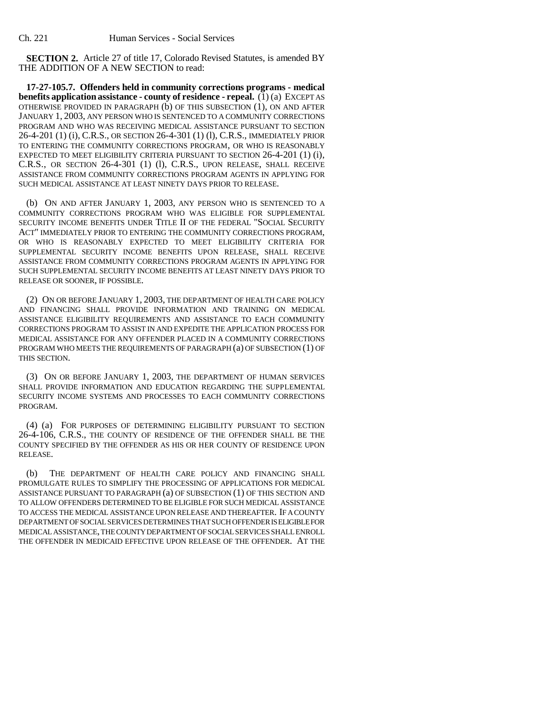**SECTION 2.** Article 27 of title 17, Colorado Revised Statutes, is amended BY THE ADDITION OF A NEW SECTION to read:

**17-27-105.7. Offenders held in community corrections programs - medical benefits application assistance - county of residence - repeal.** (1) (a) EXCEPT AS OTHERWISE PROVIDED IN PARAGRAPH (b) OF THIS SUBSECTION (1), ON AND AFTER JANUARY 1, 2003, ANY PERSON WHO IS SENTENCED TO A COMMUNITY CORRECTIONS PROGRAM AND WHO WAS RECEIVING MEDICAL ASSISTANCE PURSUANT TO SECTION 26-4-201 (1) (i), C.R.S., OR SECTION 26-4-301 (1) (l), C.R.S., IMMEDIATELY PRIOR TO ENTERING THE COMMUNITY CORRECTIONS PROGRAM, OR WHO IS REASONABLY EXPECTED TO MEET ELIGIBILITY CRITERIA PURSUANT TO SECTION 26-4-201 (1) (i), C.R.S., OR SECTION 26-4-301 (1) (l), C.R.S., UPON RELEASE, SHALL RECEIVE ASSISTANCE FROM COMMUNITY CORRECTIONS PROGRAM AGENTS IN APPLYING FOR SUCH MEDICAL ASSISTANCE AT LEAST NINETY DAYS PRIOR TO RELEASE.

(b) ON AND AFTER JANUARY 1, 2003, ANY PERSON WHO IS SENTENCED TO A COMMUNITY CORRECTIONS PROGRAM WHO WAS ELIGIBLE FOR SUPPLEMENTAL SECURITY INCOME BENEFITS UNDER TITLE II OF THE FEDERAL "SOCIAL SECURITY ACT" IMMEDIATELY PRIOR TO ENTERING THE COMMUNITY CORRECTIONS PROGRAM, OR WHO IS REASONABLY EXPECTED TO MEET ELIGIBILITY CRITERIA FOR SUPPLEMENTAL SECURITY INCOME BENEFITS UPON RELEASE, SHALL RECEIVE ASSISTANCE FROM COMMUNITY CORRECTIONS PROGRAM AGENTS IN APPLYING FOR SUCH SUPPLEMENTAL SECURITY INCOME BENEFITS AT LEAST NINETY DAYS PRIOR TO RELEASE OR SOONER, IF POSSIBLE.

(2) ON OR BEFORE JANUARY 1, 2003, THE DEPARTMENT OF HEALTH CARE POLICY AND FINANCING SHALL PROVIDE INFORMATION AND TRAINING ON MEDICAL ASSISTANCE ELIGIBILITY REQUIREMENTS AND ASSISTANCE TO EACH COMMUNITY CORRECTIONS PROGRAM TO ASSIST IN AND EXPEDITE THE APPLICATION PROCESS FOR MEDICAL ASSISTANCE FOR ANY OFFENDER PLACED IN A COMMUNITY CORRECTIONS PROGRAM WHO MEETS THE REQUIREMENTS OF PARAGRAPH (a) OF SUBSECTION (1) OF THIS SECTION.

(3) ON OR BEFORE JANUARY 1, 2003, THE DEPARTMENT OF HUMAN SERVICES SHALL PROVIDE INFORMATION AND EDUCATION REGARDING THE SUPPLEMENTAL SECURITY INCOME SYSTEMS AND PROCESSES TO EACH COMMUNITY CORRECTIONS PROGRAM.

(4) (a) FOR PURPOSES OF DETERMINING ELIGIBILITY PURSUANT TO SECTION 26-4-106, C.R.S., THE COUNTY OF RESIDENCE OF THE OFFENDER SHALL BE THE COUNTY SPECIFIED BY THE OFFENDER AS HIS OR HER COUNTY OF RESIDENCE UPON RELEASE.

(b) THE DEPARTMENT OF HEALTH CARE POLICY AND FINANCING SHALL PROMULGATE RULES TO SIMPLIFY THE PROCESSING OF APPLICATIONS FOR MEDICAL ASSISTANCE PURSUANT TO PARAGRAPH (a) OF SUBSECTION (1) OF THIS SECTION AND TO ALLOW OFFENDERS DETERMINED TO BE ELIGIBLE FOR SUCH MEDICAL ASSISTANCE TO ACCESS THE MEDICAL ASSISTANCE UPON RELEASE AND THEREAFTER. IF A COUNTY DEPARTMENT OF SOCIAL SERVICES DETERMINES THAT SUCH OFFENDER IS ELIGIBLE FOR MEDICAL ASSISTANCE, THE COUNTY DEPARTMENT OF SOCIAL SERVICES SHALL ENROLL THE OFFENDER IN MEDICAID EFFECTIVE UPON RELEASE OF THE OFFENDER. AT THE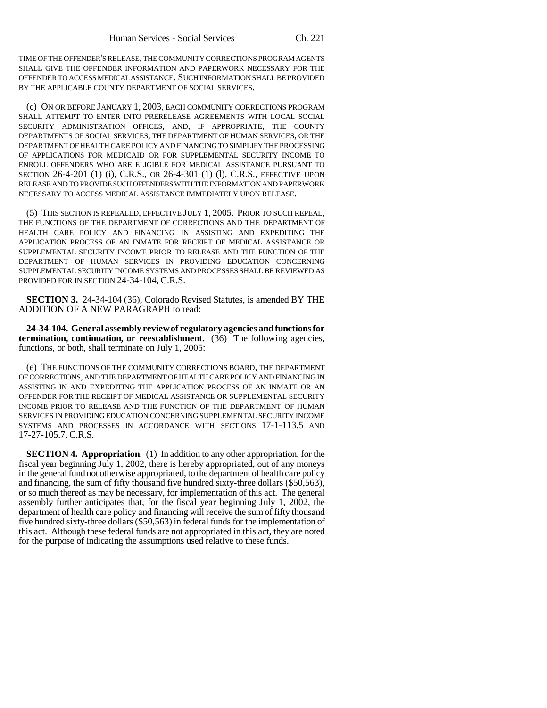TIME OF THE OFFENDER'S RELEASE, THE COMMUNITY CORRECTIONS PROGRAM AGENTS SHALL GIVE THE OFFENDER INFORMATION AND PAPERWORK NECESSARY FOR THE OFFENDER TO ACCESS MEDICAL ASSISTANCE. SUCH INFORMATION SHALL BE PROVIDED BY THE APPLICABLE COUNTY DEPARTMENT OF SOCIAL SERVICES.

(c) ON OR BEFORE JANUARY 1, 2003, EACH COMMUNITY CORRECTIONS PROGRAM SHALL ATTEMPT TO ENTER INTO PRERELEASE AGREEMENTS WITH LOCAL SOCIAL SECURITY ADMINISTRATION OFFICES, AND, IF APPROPRIATE, THE COUNTY DEPARTMENTS OF SOCIAL SERVICES, THE DEPARTMENT OF HUMAN SERVICES, OR THE DEPARTMENT OF HEALTH CARE POLICY AND FINANCING TO SIMPLIFY THE PROCESSING OF APPLICATIONS FOR MEDICAID OR FOR SUPPLEMENTAL SECURITY INCOME TO ENROLL OFFENDERS WHO ARE ELIGIBLE FOR MEDICAL ASSISTANCE PURSUANT TO SECTION 26-4-201 (1) (i), C.R.S., OR 26-4-301 (1) (l), C.R.S., EFFECTIVE UPON RELEASE AND TO PROVIDE SUCH OFFENDERS WITH THE INFORMATION AND PAPERWORK NECESSARY TO ACCESS MEDICAL ASSISTANCE IMMEDIATELY UPON RELEASE.

(5) THIS SECTION IS REPEALED, EFFECTIVE JULY 1, 2005. PRIOR TO SUCH REPEAL, THE FUNCTIONS OF THE DEPARTMENT OF CORRECTIONS AND THE DEPARTMENT OF HEALTH CARE POLICY AND FINANCING IN ASSISTING AND EXPEDITING THE APPLICATION PROCESS OF AN INMATE FOR RECEIPT OF MEDICAL ASSISTANCE OR SUPPLEMENTAL SECURITY INCOME PRIOR TO RELEASE AND THE FUNCTION OF THE DEPARTMENT OF HUMAN SERVICES IN PROVIDING EDUCATION CONCERNING SUPPLEMENTAL SECURITY INCOME SYSTEMS AND PROCESSES SHALL BE REVIEWED AS PROVIDED FOR IN SECTION 24-34-104, C.R.S.

**SECTION 3.** 24-34-104 (36), Colorado Revised Statutes, is amended BY THE ADDITION OF A NEW PARAGRAPH to read:

**24-34-104. General assembly review of regulatory agencies and functions for termination, continuation, or reestablishment.** (36) The following agencies, functions, or both, shall terminate on July 1, 2005:

(e) THE FUNCTIONS OF THE COMMUNITY CORRECTIONS BOARD, THE DEPARTMENT OF CORRECTIONS, AND THE DEPARTMENT OF HEALTH CARE POLICY AND FINANCING IN ASSISTING IN AND EXPEDITING THE APPLICATION PROCESS OF AN INMATE OR AN OFFENDER FOR THE RECEIPT OF MEDICAL ASSISTANCE OR SUPPLEMENTAL SECURITY INCOME PRIOR TO RELEASE AND THE FUNCTION OF THE DEPARTMENT OF HUMAN SERVICES IN PROVIDING EDUCATION CONCERNING SUPPLEMENTAL SECURITY INCOME SYSTEMS AND PROCESSES IN ACCORDANCE WITH SECTIONS 17-1-113.5 AND 17-27-105.7, C.R.S.

**SECTION 4. Appropriation.** (1) In addition to any other appropriation, for the fiscal year beginning July 1, 2002, there is hereby appropriated, out of any moneys in the general fund not otherwise appropriated, to the department of health care policy and financing, the sum of fifty thousand five hundred sixty-three dollars (\$50,563), or so much thereof as may be necessary, for implementation of this act. The general assembly further anticipates that, for the fiscal year beginning July 1, 2002, the department of health care policy and financing will receive the sum of fifty thousand five hundred sixty-three dollars (\$50,563) in federal funds for the implementation of this act. Although these federal funds are not appropriated in this act, they are noted for the purpose of indicating the assumptions used relative to these funds.